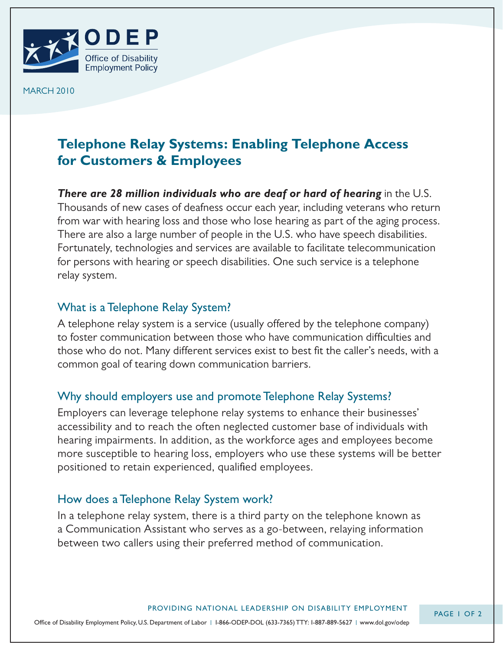

MARCH 2010

# **Telephone Relay Systems: Enabling Telephone Access for Customers & Employees**

*There are 28 million individuals who are deaf or hard of hearing* in the U.S. Thousands of new cases of deafness occur each year, including veterans who return from war with hearing loss and those who lose hearing as part of the aging process. There are also a large number of people in the U.S. who have speech disabilities. Fortunately, technologies and services are available to facilitate telecommunication for persons with hearing or speech disabilities. One such service is a telephone relay system.

## What is a Telephone Relay System?

A telephone relay system is a service (usually offered by the telephone company) to foster communication between those who have communication difficulties and those who do not. Many different services exist to best fit the caller's needs, with a common goal of tearing down communication barriers.

## Why should employers use and promote Telephone Relay Systems?

Employers can leverage telephone relay systems to enhance their businesses' accessibility and to reach the often neglected customer base of individuals with hearing impairments. In addition, as the workforce ages and employees become more susceptible to hearing loss, employers who use these systems will be better positioned to retain experienced, qualified employees.

## How does a Telephone Relay System work?

In a telephone relay system, there is a third party on the telephone known as a Communication Assistant who serves as a go-between, relaying information between two callers using their preferred method of communication.